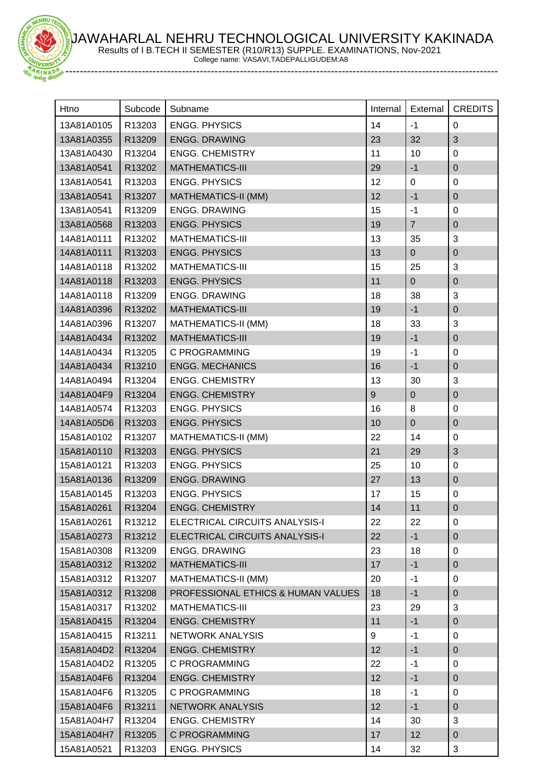JAWAHARLAL NEHRU TECHNOLOGICAL UNIVERSITY KAKINADA Results of I B.TECH II SEMESTER (R10/R13) SUPPLE. EXAMINATIONS, Nov-2021



HRU

College name: VASAVI,TADEPALLIGUDEM:A8

| Htno       | Subcode | Subname                            | Internal | External       | <b>CREDITS</b> |
|------------|---------|------------------------------------|----------|----------------|----------------|
| 13A81A0105 | R13203  | <b>ENGG. PHYSICS</b>               | 14       | $-1$           | $\mathbf 0$    |
| 13A81A0355 | R13209  | <b>ENGG. DRAWING</b>               | 23       | 32             | 3              |
| 13A81A0430 | R13204  | <b>ENGG. CHEMISTRY</b>             | 11       | 10             | $\mathbf 0$    |
| 13A81A0541 | R13202  | <b>MATHEMATICS-III</b>             | 29       | $-1$           | $\pmb{0}$      |
| 13A81A0541 | R13203  | <b>ENGG. PHYSICS</b>               | 12       | 0              | $\pmb{0}$      |
| 13A81A0541 | R13207  | <b>MATHEMATICS-II (MM)</b>         | 12       | $-1$           | $\pmb{0}$      |
| 13A81A0541 | R13209  | <b>ENGG. DRAWING</b>               | 15       | $-1$           | $\pmb{0}$      |
| 13A81A0568 | R13203  | <b>ENGG. PHYSICS</b>               | 19       | $\overline{7}$ | $\pmb{0}$      |
| 14A81A0111 | R13202  | <b>MATHEMATICS-III</b>             | 13       | 35             | 3              |
| 14A81A0111 | R13203  | <b>ENGG. PHYSICS</b>               | 13       | $\pmb{0}$      | $\mathbf 0$    |
| 14A81A0118 | R13202  | <b>MATHEMATICS-III</b>             | 15       | 25             | 3              |
| 14A81A0118 | R13203  | <b>ENGG. PHYSICS</b>               | 11       | $\overline{0}$ | $\pmb{0}$      |
| 14A81A0118 | R13209  | <b>ENGG. DRAWING</b>               | 18       | 38             | 3              |
| 14A81A0396 | R13202  | <b>MATHEMATICS-III</b>             | 19       | $-1$           | $\pmb{0}$      |
| 14A81A0396 | R13207  | <b>MATHEMATICS-II (MM)</b>         | 18       | 33             | 3              |
| 14A81A0434 | R13202  | <b>MATHEMATICS-III</b>             | 19       | $-1$           | $\pmb{0}$      |
| 14A81A0434 | R13205  | C PROGRAMMING                      | 19       | $-1$           | $\pmb{0}$      |
| 14A81A0434 | R13210  | <b>ENGG. MECHANICS</b>             | 16       | $-1$           | $\pmb{0}$      |
| 14A81A0494 | R13204  | <b>ENGG. CHEMISTRY</b>             | 13       | 30             | 3              |
| 14A81A04F9 | R13204  | <b>ENGG. CHEMISTRY</b>             | 9        | $\pmb{0}$      | $\mathsf 0$    |
| 14A81A0574 | R13203  | <b>ENGG. PHYSICS</b>               | 16       | 8              | $\pmb{0}$      |
| 14A81A05D6 | R13203  | <b>ENGG. PHYSICS</b>               | 10       | $\mathbf 0$    | $\mathsf 0$    |
| 15A81A0102 | R13207  | <b>MATHEMATICS-II (MM)</b>         | 22       | 14             | $\mathbf 0$    |
| 15A81A0110 | R13203  | <b>ENGG. PHYSICS</b>               | 21       | 29             | 3              |
| 15A81A0121 | R13203  | <b>ENGG. PHYSICS</b>               | 25       | 10             | $\pmb{0}$      |
| 15A81A0136 | R13209  | <b>ENGG. DRAWING</b>               | 27       | 13             | $\pmb{0}$      |
| 15A81A0145 | R13203  | <b>ENGG. PHYSICS</b>               | 17       | 15             | $\pmb{0}$      |
| 15A81A0261 | R13204  | <b>ENGG. CHEMISTRY</b>             | 14       | 11             | $\mathbf 0$    |
| 15A81A0261 | R13212  | ELECTRICAL CIRCUITS ANALYSIS-I     | 22       | 22             | 0              |
| 15A81A0273 | R13212  | ELECTRICAL CIRCUITS ANALYSIS-I     | 22       | $-1$           | $\mathbf 0$    |
| 15A81A0308 | R13209  | <b>ENGG. DRAWING</b>               | 23       | 18             | 0              |
| 15A81A0312 | R13202  | <b>MATHEMATICS-III</b>             | 17       | $-1$           | $\mathbf 0$    |
| 15A81A0312 | R13207  | <b>MATHEMATICS-II (MM)</b>         | 20       | $-1$           | 0              |
| 15A81A0312 | R13208  | PROFESSIONAL ETHICS & HUMAN VALUES | 18       | $-1$           | $\pmb{0}$      |
| 15A81A0317 | R13202  | <b>MATHEMATICS-III</b>             | 23       | 29             | 3              |
| 15A81A0415 | R13204  | <b>ENGG. CHEMISTRY</b>             | 11       | $-1$           | $\pmb{0}$      |
| 15A81A0415 | R13211  | NETWORK ANALYSIS                   | 9        | $-1$           | 0              |
| 15A81A04D2 | R13204  | <b>ENGG. CHEMISTRY</b>             | 12       | $-1$           | 0              |
| 15A81A04D2 | R13205  | C PROGRAMMING                      | 22       | $-1$           | 0              |
| 15A81A04F6 | R13204  | <b>ENGG. CHEMISTRY</b>             | 12       | $-1$           | $\mathbf 0$    |
| 15A81A04F6 | R13205  | C PROGRAMMING                      | 18       | $-1$           | 0              |
| 15A81A04F6 | R13211  | NETWORK ANALYSIS                   | 12       | $-1$           | $\mathbf 0$    |
| 15A81A04H7 | R13204  | <b>ENGG. CHEMISTRY</b>             | 14       | 30             | 3              |
| 15A81A04H7 | R13205  | C PROGRAMMING                      | 17       | 12             | $\pmb{0}$      |
| 15A81A0521 | R13203  | <b>ENGG. PHYSICS</b>               | 14       | 32             | 3              |